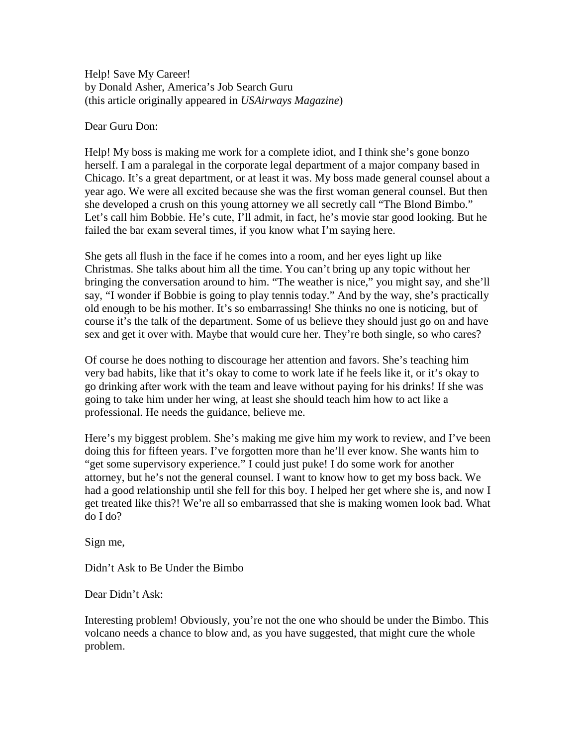Help! Save My Career! by Donald Asher, America's Job Search Guru (this article originally appeared in *USAirways Magazine*)

Dear Guru Don:

Help! My boss is making me work for a complete idiot, and I think she's gone bonzo herself. I am a paralegal in the corporate legal department of a major company based in Chicago. It's a great department, or at least it was. My boss made general counsel about a year ago. We were all excited because she was the first woman general counsel. But then she developed a crush on this young attorney we all secretly call "The Blond Bimbo." Let's call him Bobbie. He's cute, I'll admit, in fact, he's movie star good looking. But he failed the bar exam several times, if you know what I'm saying here.

She gets all flush in the face if he comes into a room, and her eyes light up like Christmas. She talks about him all the time. You can't bring up any topic without her bringing the conversation around to him. "The weather is nice," you might say, and she'll say, "I wonder if Bobbie is going to play tennis today." And by the way, she's practically old enough to be his mother. It's so embarrassing! She thinks no one is noticing, but of course it's the talk of the department. Some of us believe they should just go on and have sex and get it over with. Maybe that would cure her. They're both single, so who cares?

Of course he does nothing to discourage her attention and favors. She's teaching him very bad habits, like that it's okay to come to work late if he feels like it, or it's okay to go drinking after work with the team and leave without paying for his drinks! If she was going to take him under her wing, at least she should teach him how to act like a professional. He needs the guidance, believe me.

Here's my biggest problem. She's making me give him my work to review, and I've been doing this for fifteen years. I've forgotten more than he'll ever know. She wants him to "get some supervisory experience." I could just puke! I do some work for another attorney, but he's not the general counsel. I want to know how to get my boss back. We had a good relationship until she fell for this boy. I helped her get where she is, and now I get treated like this?! We're all so embarrassed that she is making women look bad. What do I do?

Sign me,

Didn't Ask to Be Under the Bimbo

Dear Didn't Ask:

Interesting problem! Obviously, you're not the one who should be under the Bimbo. This volcano needs a chance to blow and, as you have suggested, that might cure the whole problem.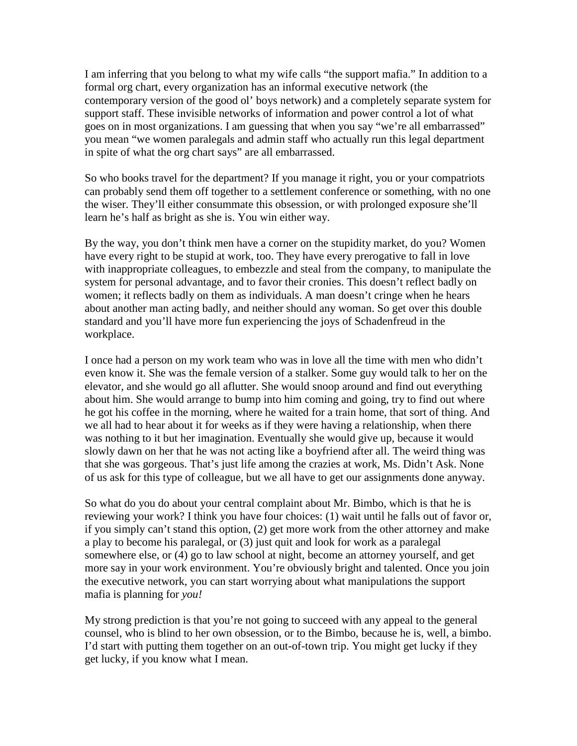I am inferring that you belong to what my wife calls "the support mafia." In addition to a formal org chart, every organization has an informal executive network (the contemporary version of the good ol' boys network) and a completely separate system for support staff. These invisible networks of information and power control a lot of what goes on in most organizations. I am guessing that when you say "we're all embarrassed" you mean "we women paralegals and admin staff who actually run this legal department in spite of what the org chart says" are all embarrassed.

So who books travel for the department? If you manage it right, you or your compatriots can probably send them off together to a settlement conference or something, with no one the wiser. They'll either consummate this obsession, or with prolonged exposure she'll learn he's half as bright as she is. You win either way.

By the way, you don't think men have a corner on the stupidity market, do you? Women have every right to be stupid at work, too. They have every prerogative to fall in love with inappropriate colleagues, to embezzle and steal from the company, to manipulate the system for personal advantage, and to favor their cronies. This doesn't reflect badly on women; it reflects badly on them as individuals. A man doesn't cringe when he hears about another man acting badly, and neither should any woman. So get over this double standard and you'll have more fun experiencing the joys of Schadenfreud in the workplace.

I once had a person on my work team who was in love all the time with men who didn't even know it. She was the female version of a stalker. Some guy would talk to her on the elevator, and she would go all aflutter. She would snoop around and find out everything about him. She would arrange to bump into him coming and going, try to find out where he got his coffee in the morning, where he waited for a train home, that sort of thing. And we all had to hear about it for weeks as if they were having a relationship, when there was nothing to it but her imagination. Eventually she would give up, because it would slowly dawn on her that he was not acting like a boyfriend after all. The weird thing was that she was gorgeous. That's just life among the crazies at work, Ms. Didn't Ask. None of us ask for this type of colleague, but we all have to get our assignments done anyway.

So what do you do about your central complaint about Mr. Bimbo, which is that he is reviewing your work? I think you have four choices: (1) wait until he falls out of favor or, if you simply can't stand this option, (2) get more work from the other attorney and make a play to become his paralegal, or (3) just quit and look for work as a paralegal somewhere else, or (4) go to law school at night, become an attorney yourself, and get more say in your work environment. You're obviously bright and talented. Once you join the executive network, you can start worrying about what manipulations the support mafia is planning for *you!*

My strong prediction is that you're not going to succeed with any appeal to the general counsel, who is blind to her own obsession, or to the Bimbo, because he is, well, a bimbo. I'd start with putting them together on an out-of-town trip. You might get lucky if they get lucky, if you know what I mean.